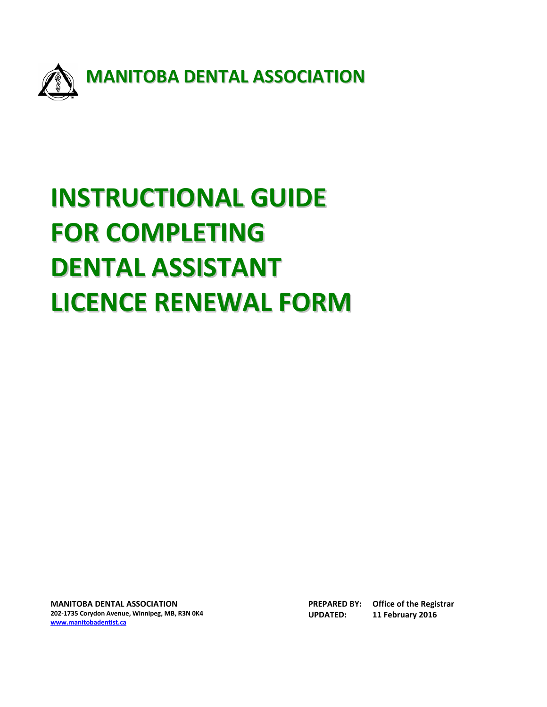

# **INSTRUCTIONAL GUIDE FOR COMPLETING DENTAL ASSISTANT LICENCE RENEWAL FORM**

**MANITOBA DENTAL ASSOCIATION 202-1735 Corydon Avenue, Winnipeg, MB, R3N 0K4 [www.manitobadentist.ca](http://www.manitobadentist.ca/)**

**PREPARED BY: Office of the Registrar UPDATED: 11 February 2016**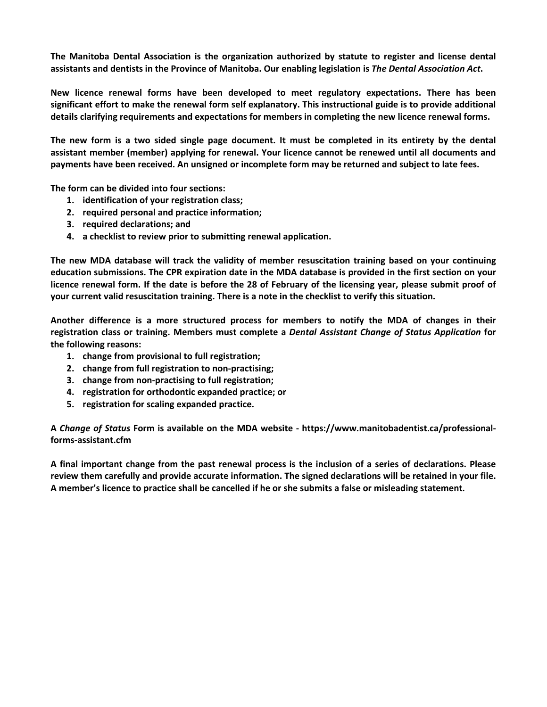**The Manitoba Dental Association is the organization authorized by statute to register and license dental assistants and dentists in the Province of Manitoba. Our enabling legislation is** *The Dental Association Act***.**

**New licence renewal forms have been developed to meet regulatory expectations. There has been significant effort to make the renewal form self explanatory. This instructional guide is to provide additional details clarifying requirements and expectations for members in completing the new licence renewal forms.** 

**The new form is a two sided single page document. It must be completed in its entirety by the dental assistant member (member) applying for renewal. Your licence cannot be renewed until all documents and payments have been received. An unsigned or incomplete form may be returned and subject to late fees.**

**The form can be divided into four sections:**

- **1. identification of your registration class;**
- **2. required personal and practice information;**
- **3. required declarations; and**
- **4. a checklist to review prior to submitting renewal application.**

**The new MDA database will track the validity of member resuscitation training based on your continuing education submissions. The CPR expiration date in the MDA database is provided in the first section on your licence renewal form. If the date is before the 28 of February of the licensing year, please submit proof of your current valid resuscitation training. There is a note in the checklist to verify this situation.**

**Another difference is a more structured process for members to notify the MDA of changes in their registration class or training. Members must complete a** *Dental Assistant Change of Status Application* **for the following reasons:**

- **1. change from provisional to full registration;**
- **2. change from full registration to non-practising;**
- **3. change from non-practising to full registration;**
- **4. registration for orthodontic expanded practice; or**
- **5. registration for scaling expanded practice.**

**A** *Change of Status* **Form is available on the MDA website - https://www.manitobadentist.ca/professionalforms-assistant.cfm**

**A final important change from the past renewal process is the inclusion of a series of declarations. Please review them carefully and provide accurate information. The signed declarations will be retained in your file. A member's licence to practice shall be cancelled if he or she submits a false or misleading statement.**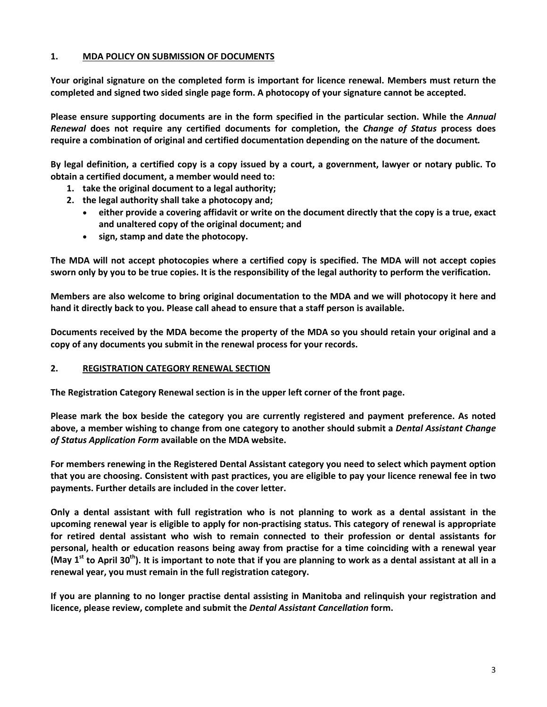# **1. MDA POLICY ON SUBMISSION OF DOCUMENTS**

**Your original signature on the completed form is important for licence renewal. Members must return the completed and signed two sided single page form. A photocopy of your signature cannot be accepted.** 

**Please ensure supporting documents are in the form specified in the particular section. While the** *Annual Renewal* **does not require any certified documents for completion, the** *Change of Status* **process does require a combination of original and certified documentation depending on the nature of the document***.* 

**By legal definition, a certified copy is a copy issued by a court, a government, lawyer or notary public. To obtain a certified document, a member would need to:**

- **1. take the original document to a legal authority;**
- **2. the legal authority shall take a photocopy and;**
	- **either provide a covering affidavit or write on the document directly that the copy is a true, exact and unaltered copy of the original document; and**
	- **sign, stamp and date the photocopy.**

**The MDA will not accept photocopies where a certified copy is specified. The MDA will not accept copies sworn only by you to be true copies. It is the responsibility of the legal authority to perform the verification.**

**Members are also welcome to bring original documentation to the MDA and we will photocopy it here and hand it directly back to you. Please call ahead to ensure that a staff person is available.**

**Documents received by the MDA become the property of the MDA so you should retain your original and a copy of any documents you submit in the renewal process for your records.**

#### **2. REGISTRATION CATEGORY RENEWAL SECTION**

**The Registration Category Renewal section is in the upper left corner of the front page.** 

**Please mark the box beside the category you are currently registered and payment preference. As noted above, a member wishing to change from one category to another should submit a** *Dental Assistant Change of Status Application Form* **available on the MDA website.** 

**For members renewing in the Registered Dental Assistant category you need to select which payment option that you are choosing. Consistent with past practices, you are eligible to pay your licence renewal fee in two payments. Further details are included in the cover letter.**

**Only a dental assistant with full registration who is not planning to work as a dental assistant in the upcoming renewal year is eligible to apply for non-practising status. This category of renewal is appropriate for retired dental assistant who wish to remain connected to their profession or dental assistants for personal, health or education reasons being away from practise for a time coinciding with a renewal year (May 1st to April 30th). It is important to note that if you are planning to work as a dental assistant at all in a renewal year, you must remain in the full registration category.**

**If you are planning to no longer practise dental assisting in Manitoba and relinquish your registration and licence, please review, complete and submit the** *Dental Assistant Cancellation* **form.**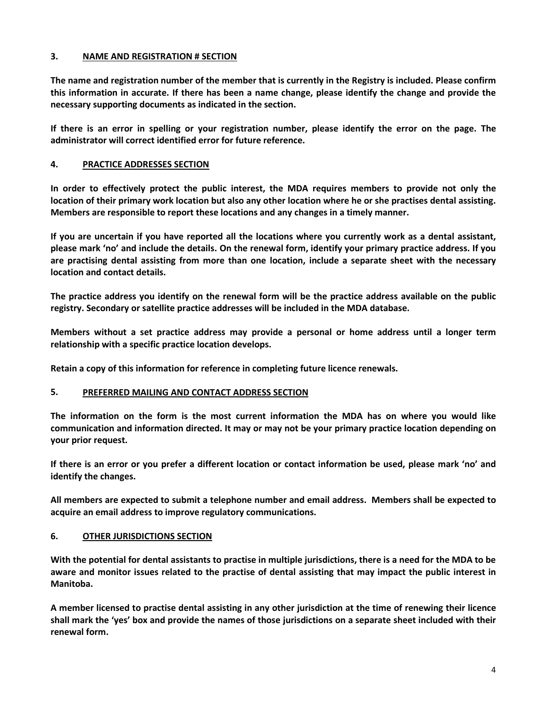# **3. NAME AND REGISTRATION # SECTION**

**The name and registration number of the member that is currently in the Registry is included. Please confirm this information in accurate. If there has been a name change, please identify the change and provide the necessary supporting documents as indicated in the section.**

**If there is an error in spelling or your registration number, please identify the error on the page. The administrator will correct identified error for future reference.**

# **4. PRACTICE ADDRESSES SECTION**

**In order to effectively protect the public interest, the MDA requires members to provide not only the location of their primary work location but also any other location where he or she practises dental assisting. Members are responsible to report these locations and any changes in a timely manner.** 

**If you are uncertain if you have reported all the locations where you currently work as a dental assistant, please mark 'no' and include the details. On the renewal form, identify your primary practice address. If you are practising dental assisting from more than one location, include a separate sheet with the necessary location and contact details.** 

**The practice address you identify on the renewal form will be the practice address available on the public registry. Secondary or satellite practice addresses will be included in the MDA database.** 

**Members without a set practice address may provide a personal or home address until a longer term relationship with a specific practice location develops.**

**Retain a copy of this information for reference in completing future licence renewals.**

#### **5. PREFERRED MAILING AND CONTACT ADDRESS SECTION**

**The information on the form is the most current information the MDA has on where you would like communication and information directed. It may or may not be your primary practice location depending on your prior request.**

**If there is an error or you prefer a different location or contact information be used, please mark 'no' and identify the changes.**

**All members are expected to submit a telephone number and email address. Members shall be expected to acquire an email address to improve regulatory communications.** 

#### **6. OTHER JURISDICTIONS SECTION**

**With the potential for dental assistants to practise in multiple jurisdictions, there is a need for the MDA to be aware and monitor issues related to the practise of dental assisting that may impact the public interest in Manitoba.** 

**A member licensed to practise dental assisting in any other jurisdiction at the time of renewing their licence shall mark the 'yes' box and provide the names of those jurisdictions on a separate sheet included with their renewal form.**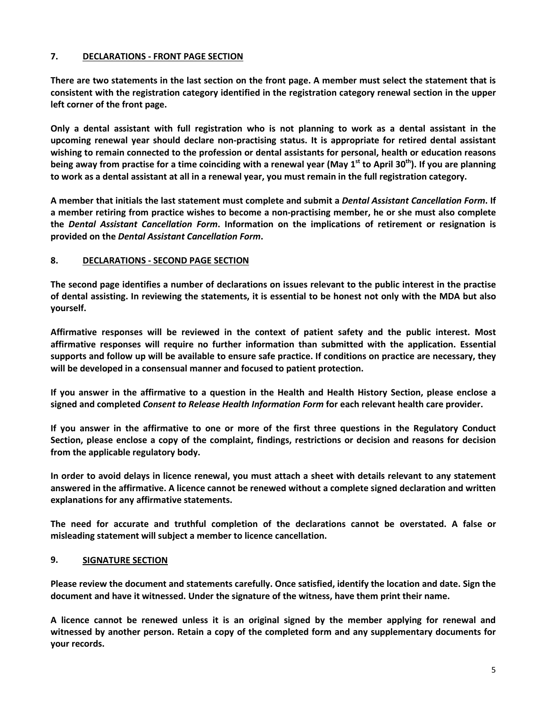# **7. DECLARATIONS - FRONT PAGE SECTION**

**There are two statements in the last section on the front page. A member must select the statement that is consistent with the registration category identified in the registration category renewal section in the upper left corner of the front page.** 

**Only a dental assistant with full registration who is not planning to work as a dental assistant in the upcoming renewal year should declare non-practising status. It is appropriate for retired dental assistant wishing to remain connected to the profession or dental assistants for personal, health or education reasons being away from practise for a time coinciding with a renewal year (May 1st to April 30th). If you are planning to work as a dental assistant at all in a renewal year, you must remain in the full registration category.**

**A member that initials the last statement must complete and submit a** *Dental Assistant Cancellation Form***. If a member retiring from practice wishes to become a non-practising member, he or she must also complete the** *Dental Assistant Cancellation Form***. Information on the implications of retirement or resignation is provided on the** *Dental Assistant Cancellation Form***.** 

#### **8. DECLARATIONS - SECOND PAGE SECTION**

**The second page identifies a number of declarations on issues relevant to the public interest in the practise of dental assisting. In reviewing the statements, it is essential to be honest not only with the MDA but also yourself.** 

**Affirmative responses will be reviewed in the context of patient safety and the public interest. Most affirmative responses will require no further information than submitted with the application. Essential supports and follow up will be available to ensure safe practice. If conditions on practice are necessary, they will be developed in a consensual manner and focused to patient protection.** 

**If you answer in the affirmative to a question in the Health and Health History Section, please enclose a signed and completed** *Consent to Release Health Information Form* **for each relevant health care provider.**

**If you answer in the affirmative to one or more of the first three questions in the Regulatory Conduct Section, please enclose a copy of the complaint, findings, restrictions or decision and reasons for decision from the applicable regulatory body.** 

**In order to avoid delays in licence renewal, you must attach a sheet with details relevant to any statement answered in the affirmative. A licence cannot be renewed without a complete signed declaration and written explanations for any affirmative statements.**

**The need for accurate and truthful completion of the declarations cannot be overstated. A false or misleading statement will subject a member to licence cancellation.**

#### **9. SIGNATURE SECTION**

**Please review the document and statements carefully. Once satisfied, identify the location and date. Sign the document and have it witnessed. Under the signature of the witness, have them print their name.** 

**A licence cannot be renewed unless it is an original signed by the member applying for renewal and witnessed by another person. Retain a copy of the completed form and any supplementary documents for your records.**